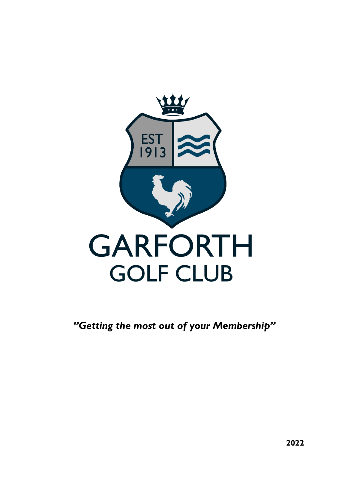

*''Getting the most out of your Membership''*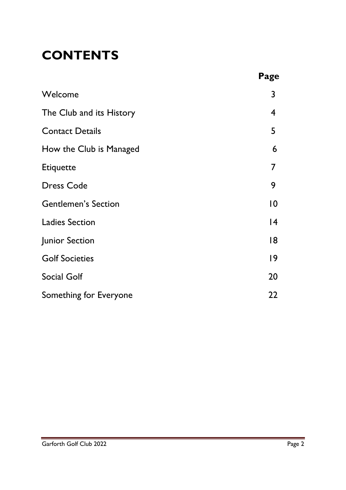# **CONTENTS**

|                            | Page            |
|----------------------------|-----------------|
| Welcome                    | 3               |
| The Club and its History   | 4               |
| <b>Contact Details</b>     | 5               |
| How the Club is Managed    | 6               |
| <b>Etiquette</b>           | 7               |
| <b>Dress Code</b>          | 9               |
| <b>Gentlemen's Section</b> | $\overline{10}$ |
| <b>Ladies Section</b>      | 4               |
| Junior Section             | 18              |
| <b>Golf Societies</b>      | $\overline{19}$ |
| <b>Social Golf</b>         | 20              |
| Something for Everyone     | 22              |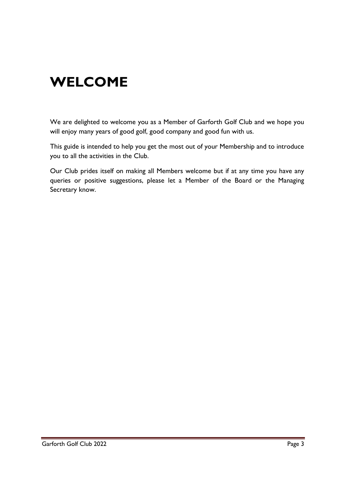# **WELCOME**

We are delighted to welcome you as a Member of Garforth Golf Club and we hope you will enjoy many years of good golf, good company and good fun with us.

This guide is intended to help you get the most out of your Membership and to introduce you to all the activities in the Club.

Our Club prides itself on making all Members welcome but if at any time you have any queries or positive suggestions, please let a Member of the Board or the Managing Secretary know.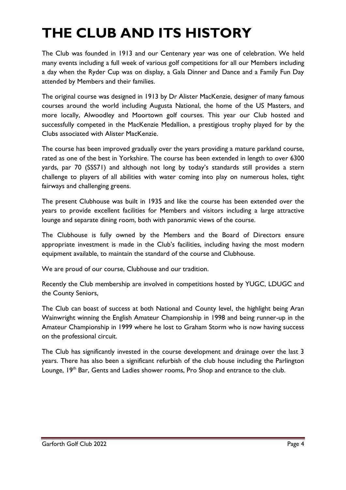# **THE CLUB AND ITS HISTORY**

The Club was founded in 1913 and our Centenary year was one of celebration. We held many events including a full week of various golf competitions for all our Members including a day when the Ryder Cup was on display, a Gala Dinner and Dance and a Family Fun Day attended by Members and their families.

The original course was designed in 1913 by Dr Alister MacKenzie, designer of many famous courses around the world including Augusta National, the home of the US Masters, and more locally, Alwoodley and Moortown golf courses. This year our Club hosted and successfully competed in the MacKenzie Medallion, a prestigious trophy played for by the Clubs associated with Alister MacKenzie.

The course has been improved gradually over the years providing a mature parkland course, rated as one of the best in Yorkshire. The course has been extended in length to over 6300 yards, par 70 (SSS71) and although not long by today's standards still provides a stern challenge to players of all abilities with water coming into play on numerous holes, tight fairways and challenging greens.

The present Clubhouse was built in 1935 and like the course has been extended over the years to provide excellent facilities for Members and visitors including a large attractive lounge and separate dining room, both with panoramic views of the course.

The Clubhouse is fully owned by the Members and the Board of Directors ensure appropriate investment is made in the Club's facilities, including having the most modern equipment available, to maintain the standard of the course and Clubhouse.

We are proud of our course, Clubhouse and our tradition.

Recently the Club membership are involved in competitions hosted by YUGC, LDUGC and the County Seniors,

The Club can boast of success at both National and County level, the highlight being Aran Wainwright winning the English Amateur Championship in 1998 and being runner-up in the Amateur Championship in 1999 where he lost to Graham Storm who is now having success on the professional circuit.

The Club has significantly invested in the course development and drainage over the last 3 years. There has also been a significant refurbish of the club house including the Parlington Lounge,  $19<sup>th</sup>$  Bar, Gents and Ladies shower rooms, Pro Shop and entrance to the club.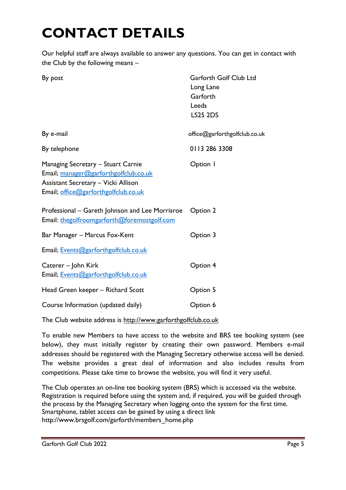# **CONTACT DETAILS**

Our helpful staff are always available to answer any questions. You can get in contact with the Club by the following means –

| By post                                                                                                                                                           | Garforth Golf Club Ltd<br>Long Lane<br>Garforth<br>Leeds<br><b>LS25 2DS</b> |
|-------------------------------------------------------------------------------------------------------------------------------------------------------------------|-----------------------------------------------------------------------------|
| By e-mail                                                                                                                                                         | office@garforthgolfclub.co.uk                                               |
| By telephone                                                                                                                                                      | 0113 286 3308                                                               |
| Managing Secretary - Stuart Carnie<br>Email; manager@garforthgolfclub.co.uk<br><b>Assistant Secretary - Vicki Allison</b><br>Email; office@garforthgolfclub.co.uk | Option I                                                                    |
| Professional – Gareth Johnson and Lee Morrisroe<br>Email: thegolfroomgarforth@foremostgolf.com                                                                    | Option 2                                                                    |
| Bar Manager - Marcus Fox-Kent                                                                                                                                     | Option 3                                                                    |
| Email; Events@garforthgolfclub.co.uk                                                                                                                              |                                                                             |
| Caterer – John Kirk<br>Email; Events@garforthgolfclub.co.uk                                                                                                       | Option 4                                                                    |
| Head Green keeper - Richard Scott                                                                                                                                 | Option 5                                                                    |
| Course Information (updated daily)                                                                                                                                | Option 6                                                                    |

The Club website address is [http://www.garforthgolfclub.co.uk](http://www.garforthgolfclub.co.uk/)

To enable new Members to have access to the website and BRS tee booking system (see below), they must initially register by creating their own password. Members e-mail addresses should be registered with the Managing Secretary otherwise access will be denied. The website provides a great deal of information and also includes results from competitions. Please take time to browse the website, you will find it very useful.

The Club operates an on-line tee booking system (BRS) which is accessed via the website. Registration is required before using the system and, if required, you will be guided through the process by the Managing Secretary when logging onto the system for the first time. Smartphone, tablet access can be gained by using a direct link http://www.brsgolf.com/garforth/members\_home.php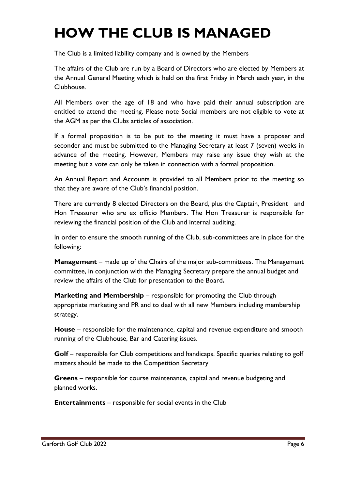# **HOW THE CLUB IS MANAGED**

The Club is a limited liability company and is owned by the Members

The affairs of the Club are run by a Board of Directors who are elected by Members at the Annual General Meeting which is held on the first Friday in March each year, in the Clubhouse.

All Members over the age of 18 and who have paid their annual subscription are entitled to attend the meeting. Please note Social members are not eligible to vote at the AGM as per the Clubs articles of association.

If a formal proposition is to be put to the meeting it must have a proposer and seconder and must be submitted to the Managing Secretary at least 7 (seven) weeks in advance of the meeting. However, Members may raise any issue they wish at the meeting but a vote can only be taken in connection with a formal proposition.

An Annual Report and Accounts is provided to all Members prior to the meeting so that they are aware of the Club's financial position.

There are currently 8 elected Directors on the Board, plus the Captain, President and Hon Treasurer who are ex officio Members. The Hon Treasurer is responsible for reviewing the financial position of the Club and internal auditing.

In order to ensure the smooth running of the Club, sub-committees are in place for the following:

**Management** – made up of the Chairs of the major sub-committees. The Management committee, in conjunction with the Managing Secretary prepare the annual budget and review the affairs of the Club for presentation to the Board**.**

**Marketing and Membership** – responsible for promoting the Club through appropriate marketing and PR and to deal with all new Members including membership strategy.

**House** – responsible for the maintenance, capital and revenue expenditure and smooth running of the Clubhouse, Bar and Catering issues.

**Golf** – responsible for Club competitions and handicaps. Specific queries relating to golf matters should be made to the Competition Secretary

**Greens** – responsible for course maintenance, capital and revenue budgeting and planned works.

**Entertainments** – responsible for social events in the Club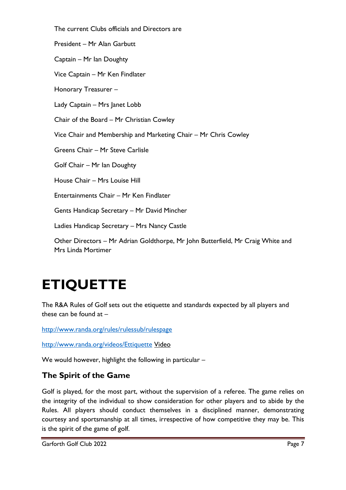The current Clubs officials and Directors are President – Mr Alan Garbutt Captain – Mr Ian Doughty Vice Captain – Mr Ken Findlater Honorary Treasurer – Lady Captain – Mrs Janet Lobb Chair of the Board – Mr Christian Cowley Vice Chair and Membership and Marketing Chair – Mr Chris Cowley Greens Chair – Mr Steve Carlisle Golf Chair – Mr Ian Doughty House Chair – Mrs Louise Hill Entertainments Chair – Mr Ken Findlater Gents Handicap Secretary – Mr David Mincher Ladies Handicap Secretary – Mrs Nancy Castle Other Directors – Mr Adrian Goldthorpe, Mr John Butterfield, Mr Craig White and Mrs Linda Mortimer

# **ETIQUETTE**

The R&A Rules of Golf sets out the etiquette and standards expected by all players and these can be found at –

<http://www.randa.org/rules/rulessub/rulespage>

<http://www.randa.org/videos/Ettiquette> Video

We would however, highlight the following in particular –

# **The Spirit of the Game**

Golf is played, for the most part, without the supervision of a referee. The game relies on the integrity of the individual to show consideration for other players and to abide by the Rules. All players should conduct themselves in a disciplined manner, demonstrating courtesy and sportsmanship at all times, irrespective of how competitive they may be. This is the spirit of the game of golf.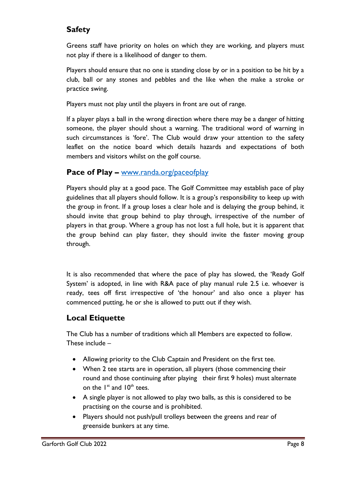# **Safety**

Greens staff have priority on holes on which they are working, and players must not play if there is a likelihood of danger to them.

Players should ensure that no one is standing close by or in a position to be hit by a club, ball or any stones and pebbles and the like when the make a stroke or practice swing.

Players must not play until the players in front are out of range.

If a player plays a ball in the wrong direction where there may be a danger of hitting someone, the player should shout a warning. The traditional word of warning in such circumstances is 'fore'. The Club would draw your attention to the safety leaflet on the notice board which details hazards and expectations of both members and visitors whilst on the golf course.

# **Pace of Play –** [www.randa.org/paceofplay](http://www.randa.org/paceofplay)

Players should play at a good pace. The Golf Committee may establish pace of play guidelines that all players should follow. It is a group's responsibility to keep up with the group in front. If a group loses a clear hole and is delaying the group behind, it should invite that group behind to play through, irrespective of the number of players in that group. Where a group has not lost a full hole, but it is apparent that the group behind can play faster, they should invite the faster moving group through.

It is also recommended that where the pace of play has slowed, the 'Ready Golf System' is adopted, in line with R&A pace of play manual rule 2.5 i.e. whoever is ready, tees off first irrespective of 'the honour' and also once a player has commenced putting, he or she is allowed to putt out if they wish.

# **Local Etiquette**

The Club has a number of traditions which all Members are expected to follow. These include –

- Allowing priority to the Club Captain and President on the first tee.
- When 2 tee starts are in operation, all players (those commencing their round and those continuing after playing their first 9 holes) must alternate on the  $I^{st}$  and  $I0^{th}$  tees.
- A single player is not allowed to play two balls, as this is considered to be practising on the course and is prohibited.
- Players should not push/pull trolleys between the greens and rear of greenside bunkers at any time.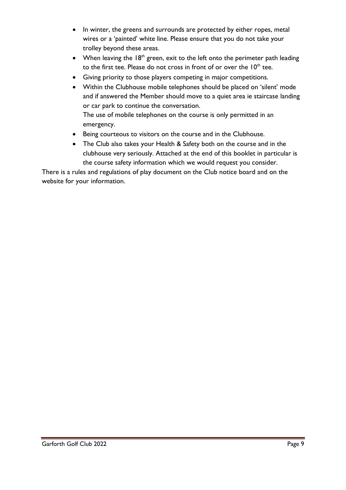- In winter, the greens and surrounds are protected by either ropes, metal wires or a 'painted' white line. Please ensure that you do not take your trolley beyond these areas.
- When leaving the  $18<sup>th</sup>$  green, exit to the left onto the perimeter path leading to the first tee. Please do not cross in front of or over the  $10^\mathrm{th}$  tee.
- Giving priority to those players competing in major competitions.
- Within the Clubhouse mobile telephones should be placed on 'silent' mode and if answered the Member should move to a quiet area ie staircase landing or car park to continue the conversation. The use of mobile telephones on the course is only permitted in an emergency.
- Being courteous to visitors on the course and in the Clubhouse.
- The Club also takes your Health & Safety both on the course and in the clubhouse very seriously. Attached at the end of this booklet in particular is the course safety information which we would request you consider.

There is a rules and regulations of play document on the Club notice board and on the website for your information.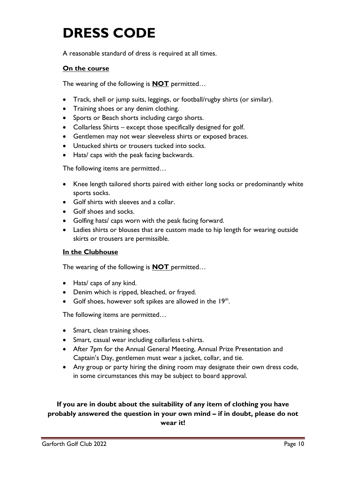# **DRESS CODE**

A reasonable standard of dress is required at all times.

# **On the course**

The wearing of the following is **NOT** permitted…

- Track, shell or jump suits, leggings, or football/rugby shirts (or similar).
- Training shoes or any denim clothing.
- Sports or Beach shorts including cargo shorts.
- Collarless Shirts except those specifically designed for golf.
- Gentlemen may not wear sleeveless shirts or exposed braces.
- Untucked shirts or trousers tucked into socks.
- Hats/ caps with the peak facing backwards.

The following items are permitted…

- Knee length tailored shorts paired with either long socks or predominantly white sports socks.
- Golf shirts with sleeves and a collar.
- Golf shoes and socks.
- Golfing hats/ caps worn with the peak facing forward.
- Ladies shirts or blouses that are custom made to hip length for wearing outside skirts or trousers are permissible.

#### **In the Clubhouse**

The wearing of the following is **NOT** permitted…

- Hats/ caps of any kind.
- Denim which is ripped, bleached, or frayed.
- Golf shoes, however soft spikes are allowed in the  $19<sup>th</sup>$ .

The following items are permitted…

- Smart, clean training shoes.
- Smart, casual wear including collarless t-shirts.
- After 7pm for the Annual General Meeting, Annual Prize Presentation and Captain's Day, gentlemen must wear a jacket, collar, and tie.
- Any group or party hiring the dining room may designate their own dress code, in some circumstances this may be subject to board approval.

# **If you are in doubt about the suitability of any item of clothing you have probably answered the question in your own mind – if in doubt, please do not wear it!**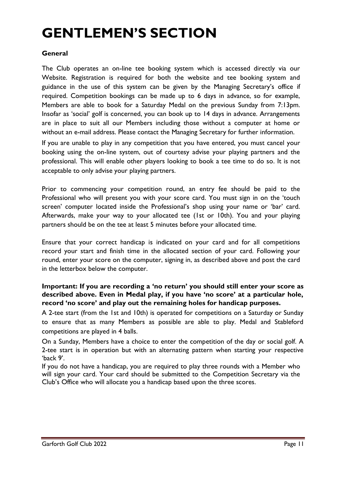# **GENTLEMEN'S SECTION**

#### **General**

The Club operates an on-line tee booking system which is accessed directly via our Website. Registration is required for both the website and tee booking system and guidance in the use of this system can be given by the Managing Secretary's office if required. Competition bookings can be made up to 6 days in advance, so for example, Members are able to book for a Saturday Medal on the previous Sunday from 7:13pm. Insofar as 'social' golf is concerned, you can book up to 14 days in advance. Arrangements are in place to suit all our Members including those without a computer at home or without an e-mail address. Please contact the Managing Secretary for further information.

If you are unable to play in any competition that you have entered, you must cancel your booking using the on-line system, out of courtesy advise your playing partners and the professional. This will enable other players looking to book a tee time to do so. It is not acceptable to only advise your playing partners.

Prior to commencing your competition round, an entry fee should be paid to the Professional who will present you with your score card. You must sign in on the 'touch screen' computer located inside the Professional's shop using your name or 'bar' card. Afterwards, make your way to your allocated tee (1st or 10th). You and your playing partners should be on the tee at least 5 minutes before your allocated time.

Ensure that your correct handicap is indicated on your card and for all competitions record your start and finish time in the allocated section of your card. Following your round, enter your score on the computer, signing in, as described above and post the card in the letterbox below the computer.

# **Important: If you are recording a 'no return' you should still enter your score as described above. Even in Medal play, if you have 'no score' at a particular hole, record 'no score' and play out the remaining holes for handicap purposes.**

A 2-tee start (from the 1st and 10th) is operated for competitions on a Saturday or Sunday to ensure that as many Members as possible are able to play. Medal and Stableford competitions are played in 4 balls.

On a Sunday, Members have a choice to enter the competition of the day or social golf. A 2-tee start is in operation but with an alternating pattern when starting your respective 'back 9'.

If you do not have a handicap, you are required to play three rounds with a Member who will sign your card. Your card should be submitted to the Competition Secretary via the Club's Office who will allocate you a handicap based upon the three scores.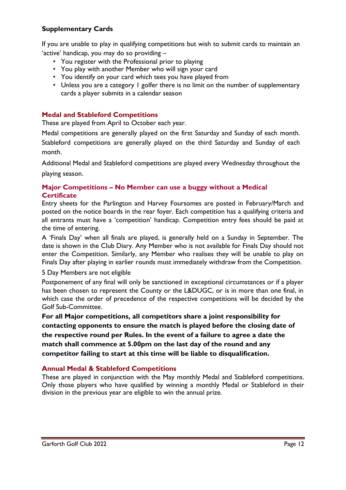# **Supplementary Cards**

If you are unable to play in qualifying competitions but wish to submit cards to maintain an 'active' handicap, you may do so providing –

- You register with the Professional prior to playing
- You play with another Member who will sign your card
- You identify on your card which tees you have played from
- Unless you are a category I golfer there is no limit on the number of supplementary cards a player submits in a calendar season

#### **Medal and Stableford Competitions**

These are played from April to October each year.

Medal competitions are generally played on the first Saturday and Sunday of each month. Stableford competitions are generally played on the third Saturday and Sunday of each month.

Additional Medal and Stableford competitions are played every Wednesday throughout the playing season.

#### **Major Competitions – No Member can use a buggy without a Medical Certificate**

Entry sheets for the Parlington and Harvey Foursomes are posted in February/March and posted on the notice boards in the rear foyer. Each competition has a qualifying criteria and all entrants must have a 'competition' handicap. Competition entry fees should be paid at the time of entering.

A 'Finals Day' when all finals are played, is generally held on a Sunday in September. The date is shown in the Club Diary. Any Member who is not available for Finals Day should not enter the Competition. Similarly, any Member who realises they will be unable to play on Finals Day after playing in earlier rounds must immediately withdraw from the Competition.

#### 5 Day Members are not eligible

Postponement of any final will only be sanctioned in exceptional circumstances or if a player has been chosen to represent the County or the L&DUGC, or is in more than one final, in which case the order of precedence of the respective competitions will be decided by the Golf Sub-Committee.

**For all Major competitions, all competitors share a joint responsibility for contacting opponents to ensure the match is played before the closing date of the respective round per Rules. In the event of a failure to agree a date the match shall commence at 5.00pm on the last day of the round and any competitor failing to start at this time will be liable to disqualification.** 

#### **Annual Medal & Stableford Competitions**

These are played in conjunction with the May monthly Medal and Stableford competitions. Only those players who have qualified by winning a monthly Medal or Stableford in their division in the previous year are eligible to win the annual prize.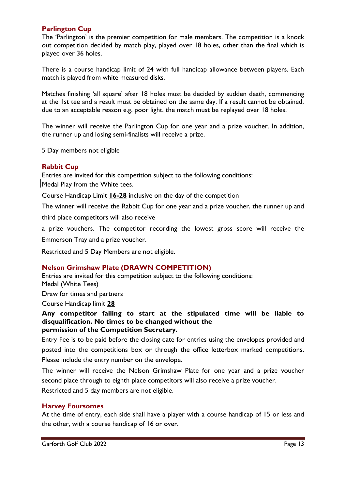#### **Parlington Cup**

The 'Parlington' is the premier competition for male members. The competition is a knock out competition decided by match play, played over 18 holes, other than the final which is played over 36 holes.

There is a course handicap limit of 24 with full handicap allowance between players. Each match is played from white measured disks.

Matches finishing 'all square' after 18 holes must be decided by sudden death, commencing at the 1st tee and a result must be obtained on the same day. If a result cannot be obtained, due to an acceptable reason e.g. poor light, the match must be replayed over 18 holes.

The winner will receive the Parlington Cup for one year and a prize voucher. In addition, the runner up and losing semi-finalists will receive a prize.

5 Day members not eligible

#### **Rabbit Cup**

Entries are invited for this competition subject to the following conditions: Medal Play from the White tees.

Course Handicap Limit **16-28** inclusive on the day of the competition

The winner will receive the Rabbit Cup for one year and a prize voucher, the runner up and

third place competitors will also receive

a prize vouchers. The competitor recording the lowest gross score will receive the

Emmerson Tray and a prize voucher.

Restricted and 5 Day Members are not eligible.

#### **Nelson Grimshaw Plate (DRAWN COMPETITION)**

Entries are invited for this competition subject to the following conditions: Medal (White Tees)

Draw for times and partners

Course Handicap limit **28**

#### **Any competitor failing to start at the stipulated time will be liable to disqualification. No times to be changed without the permission of the Competition Secretary.**

Entry Fee is to be paid before the closing date for entries using the envelopes provided and posted into the competitions box or through the office letterbox marked competitions. Please include the entry number on the envelope.

The winner will receive the Nelson Grimshaw Plate for one year and a prize voucher second place through to eighth place competitors will also receive a prize voucher. Restricted and 5 day members are not eligible.

#### **Harvey Foursomes**

At the time of entry, each side shall have a player with a course handicap of 15 or less and the other, with a course handicap of 16 or over.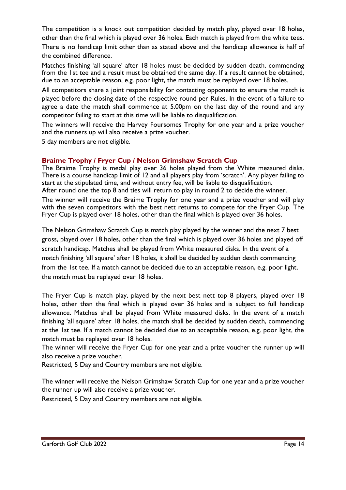The competition is a knock out competition decided by match play, played over 18 holes, other than the final which is played over 36 holes. Each match is played from the white tees. There is no handicap limit other than as stated above and the handicap allowance is half of the combined difference.

Matches finishing 'all square' after 18 holes must be decided by sudden death, commencing from the 1st tee and a result must be obtained the same day. If a result cannot be obtained, due to an acceptable reason, e.g. poor light, the match must be replayed over 18 holes.

All competitors share a joint responsibility for contacting opponents to ensure the match is played before the closing date of the respective round per Rules. In the event of a failure to agree a date the match shall commence at 5.00pm on the last day of the round and any competitor failing to start at this time will be liable to disqualification.

The winners will receive the Harvey Foursomes Trophy for one year and a prize voucher and the runners up will also receive a prize voucher.

5 day members are not eligible.

### **Braime Trophy / Fryer Cup / Nelson Grimshaw Scratch Cup**

The Braime Trophy is medal play over 36 holes played from the White measured disks. There is a course handicap limit of 12 and all players play from 'scratch'. Any player failing to start at the stipulated time, and without entry fee, will be liable to disqualification. After round one the top 8 and ties will return to play in round 2 to decide the winner.

The winner will receive the Braime Trophy for one year and a prize voucher and will play with the seven competitors with the best nett returns to compete for the Fryer Cup. The Fryer Cup is played over 18 holes, other than the final which is played over 36 holes.

The Nelson Grimshaw Scratch Cup is match play played by the winner and the next 7 best gross, played over 18 holes, other than the final which is played over 36 holes and played off scratch handicap. Matches shall be played from White measured disks. In the event of a match finishing 'all square' after 18 holes, it shall be decided by sudden death commencing from the 1st tee. If a match cannot be decided due to an acceptable reason, e.g. poor light, the match must be replayed over 18 holes.

The Fryer Cup is match play, played by the next best nett top 8 players, played over 18 holes, other than the final which is played over 36 holes and is subject to full handicap allowance. Matches shall be played from White measured disks. In the event of a match finishing 'all square' after 18 holes, the match shall be decided by sudden death, commencing at the 1st tee. If a match cannot be decided due to an acceptable reason, e.g. poor light, the match must be replayed over 18 holes.

The winner will receive the Fryer Cup for one year and a prize voucher the runner up will also receive a prize voucher.

Restricted, 5 Day and Country members are not eligible.

The winner will receive the Nelson Grimshaw Scratch Cup for one year and a prize voucher the runner up will also receive a prize voucher.

Restricted, 5 Day and Country members are not eligible.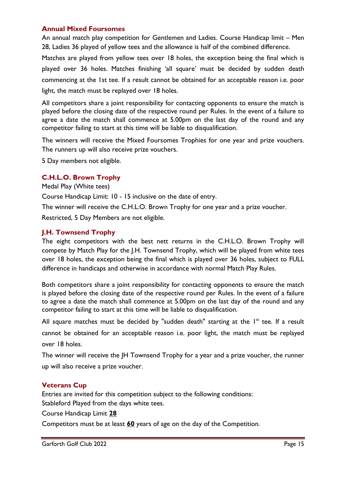#### **Annual Mixed Foursomes**

An annual match play competition for Gentlemen and Ladies. Course Handicap limit – Men 28, Ladies 36 played of yellow tees and the allowance is half of the combined difference.

Matches are played from yellow tees over 18 holes, the exception being the final which is played over 36 holes. Matches finishing 'all square' must be decided by sudden death commencing at the 1st tee. If a result cannot be obtained for an acceptable reason i.e. poor light, the match must be replayed over 18 holes.

All competitors share a joint responsibility for contacting opponents to ensure the match is played before the closing date of the respective round per Rules. In the event of a failure to agree a date the match shall commence at 5.00pm on the last day of the round and any competitor failing to start at this time will be liable to disqualification.

The winners will receive the Mixed Foursomes Trophies for one year and prize vouchers. The runners up will also receive prize vouchers.

5 Day members not eligible.

#### **C.H.L.O. Brown Trophy**

Medal Play (White tees)

Course Handicap Limit: 10 - 15 inclusive on the date of entry.

The winner will receive the C.H.L.O. Brown Trophy for one year and a prize voucher.

Restricted, 5 Day Members are not eligible.

#### **J.H. Townsend Trophy**

The eight competitors with the best nett returns in the C.H.L.O. Brown Trophy will compete by Match Play for the J.H. Townsend Trophy, which will be played from white tees over 18 holes, the exception being the final which is played over 36 holes, subject to FULL difference in handicaps and otherwise in accordance with normal Match Play Rules.

Both competitors share a joint responsibility for contacting opponents to ensure the match is played before the closing date of the respective round per Rules. In the event of a failure to agree a date the match shall commence at 5.00pm on the last day of the round and any competitor failing to start at this time will be liable to disqualification.

All square matches must be decided by "sudden death" starting at the  $I<sup>st</sup>$  tee. If a result cannot be obtained for an acceptable reason i.e. poor light, the match must be replayed over 18 holes.

The winner will receive the JH Townsend Trophy for a year and a prize voucher, the runner up will also receive a prize voucher.

#### **Veterans Cup**

Entries are invited for this competition subject to the following conditions: Stableford Played from the days white tees.

Course Handicap Limit **28**

Competitors must be at least **60** years of age on the day of the Competition.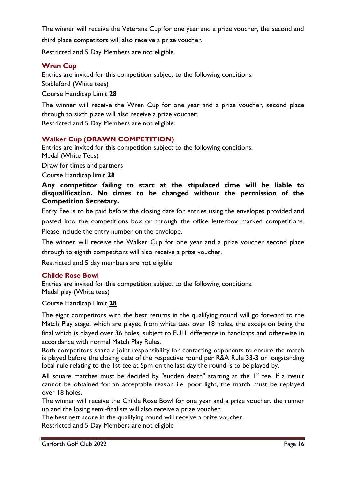The winner will receive the Veterans Cup for one year and a prize voucher, the second and third place competitors will also receive a prize voucher.

Restricted and 5 Day Members are not eligible.

#### **Wren Cup**

Entries are invited for this competition subject to the following conditions: Stableford (White tees)

Course Handicap Limit **28**

The winner will receive the Wren Cup for one year and a prize voucher, second place through to sixth place will also receive a prize voucher.

Restricted and 5 Day Members are not eligible.

#### **Walker Cup (DRAWN COMPETITION)**

Entries are invited for this competition subject to the following conditions: Medal (White Tees)

Draw for times and partners

Course Handicap limit **28**

**Any competitor failing to start at the stipulated time will be liable to disqualification. No times to be changed without the permission of the Competition Secretary.**

Entry Fee is to be paid before the closing date for entries using the envelopes provided and posted into the competitions box or through the office letterbox marked competitions. Please include the entry number on the envelope.

The winner will receive the Walker Cup for one year and a prize voucher second place through to eighth competitors will also receive a prize voucher.

Restricted and 5 day members are not eligible

#### **Childe Rose Bowl**

Entries are invited for this competition subject to the following conditions: Medal play (White tees)

Course Handicap Limit **28**

The eight competitors with the best returns in the qualifying round will go forward to the Match Play stage, which are played from white tees over 18 holes, the exception being the final which is played over 36 holes, subject to FULL difference in handicaps and otherwise in accordance with normal Match Play Rules.

Both competitors share a joint responsibility for contacting opponents to ensure the match is played before the closing date of the respective round per R&A Rule 33-3 or longstanding local rule relating to the 1st tee at 5pm on the last day the round is to be played by.

All square matches must be decided by "sudden death" starting at the  $I<sup>st</sup>$  tee. If a result cannot be obtained for an acceptable reason i.e. poor light, the match must be replayed over 18 holes.

The winner will receive the Childe Rose Bowl for one year and a prize voucher. the runner up and the losing semi-finalists will also receive a prize voucher.

The best nett score in the qualifying round will receive a prize voucher.

Restricted and 5 Day Members are not eligible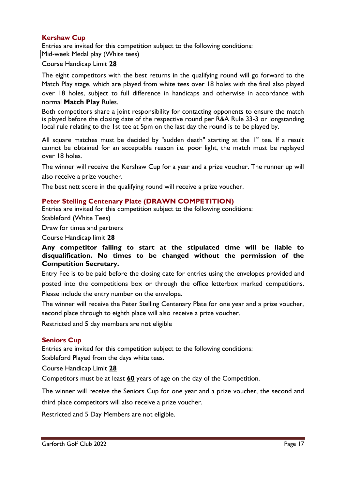### **Kershaw Cup**

Entries are invited for this competition subject to the following conditions: Mid-week Medal play (White tees)

Course Handicap Limit **28**

The eight competitors with the best returns in the qualifying round will go forward to the Match Play stage, which are played from white tees over 18 holes with the final also played over 18 holes, subject to full difference in handicaps and otherwise in accordance with normal **Match Play** Rules.

Both competitors share a joint responsibility for contacting opponents to ensure the match is played before the closing date of the respective round per R&A Rule 33-3 or longstanding local rule relating to the 1st tee at 5pm on the last day the round is to be played by.

All square matches must be decided by "sudden death" starting at the  $I<sup>st</sup>$  tee. If a result cannot be obtained for an acceptable reason i.e. poor light, the match must be replayed over 18 holes.

The winner will receive the Kershaw Cup for a year and a prize voucher. The runner up will also receive a prize voucher.

The best nett score in the qualifying round will receive a prize voucher.

#### **Peter Stelling Centenary Plate (DRAWN COMPETITION)**

Entries are invited for this competition subject to the following conditions:

Stableford (White Tees)

Draw for times and partners

Course Handicap limit **28**

**Any competitor failing to start at the stipulated time will be liable to disqualification. No times to be changed without the permission of the Competition Secretary.**

Entry Fee is to be paid before the closing date for entries using the envelopes provided and posted into the competitions box or through the office letterbox marked competitions. Please include the entry number on the envelope.

The winner will receive the Peter Stelling Centenary Plate for one year and a prize voucher, second place through to eighth place will also receive a prize voucher.

Restricted and 5 day members are not eligible

#### **Seniors Cup**

Entries are invited for this competition subject to the following conditions: Stableford Played from the days white tees.

Course Handicap Limit **28**

Competitors must be at least **60** years of age on the day of the Competition.

The winner will receive the Seniors Cup for one year and a prize voucher, the second and

third place competitors will also receive a prize voucher.

Restricted and 5 Day Members are not eligible.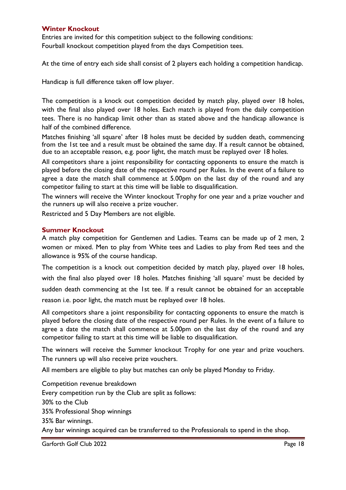#### **Winter Knockout**

Entries are invited for this competition subject to the following conditions: Fourball knockout competition played from the days Competition tees.

At the time of entry each side shall consist of 2 players each holding a competition handicap.

Handicap is full difference taken off low player.

The competition is a knock out competition decided by match play, played over 18 holes, with the final also played over 18 holes. Each match is played from the daily competition tees. There is no handicap limit other than as stated above and the handicap allowance is half of the combined difference.

Matches finishing 'all square' after 18 holes must be decided by sudden death, commencing from the 1st tee and a result must be obtained the same day. If a result cannot be obtained, due to an acceptable reason, e.g. poor light, the match must be replayed over 18 holes.

All competitors share a joint responsibility for contacting opponents to ensure the match is played before the closing date of the respective round per Rules. In the event of a failure to agree a date the match shall commence at 5.00pm on the last day of the round and any competitor failing to start at this time will be liable to disqualification.

The winners will receive the Winter knockout Trophy for one year and a prize voucher and the runners up will also receive a prize voucher.

Restricted and 5 Day Members are not eligible.

#### **Summer Knockout**

A match play competition for Gentlemen and Ladies. Teams can be made up of 2 men, 2 women or mixed. Men to play from White tees and Ladies to play from Red tees and the allowance is 95% of the course handicap.

The competition is a knock out competition decided by match play, played over 18 holes, with the final also played over 18 holes. Matches finishing 'all square' must be decided by sudden death commencing at the 1st tee. If a result cannot be obtained for an acceptable reason i.e. poor light, the match must be replayed over 18 holes.

All competitors share a joint responsibility for contacting opponents to ensure the match is played before the closing date of the respective round per Rules. In the event of a failure to agree a date the match shall commence at 5.00pm on the last day of the round and any competitor failing to start at this time will be liable to disqualification.

The winners will receive the Summer knockout Trophy for one year and prize vouchers. The runners up will also receive prize vouchers.

All members are eligible to play but matches can only be played Monday to Friday.

Competition revenue breakdown Every competition run by the Club are split as follows: 30% to the Club 35% Professional Shop winnings 35% Bar winnings. Any bar winnings acquired can be transferred to the Professionals to spend in the shop.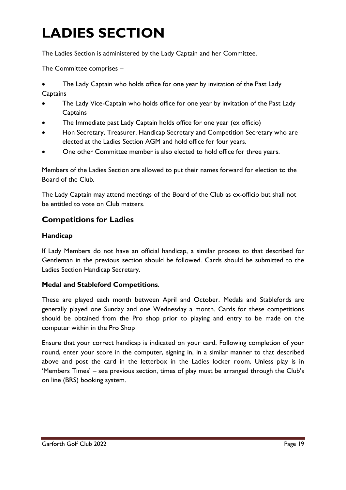# **LADIES SECTION**

The Ladies Section is administered by the Lady Captain and her Committee.

The Committee comprises –

- The Lady Captain who holds office for one year by invitation of the Past Lady **Captains**
- The Lady Vice-Captain who holds office for one year by invitation of the Past Lady **Captains**
- The Immediate past Lady Captain holds office for one year (ex officio)
- Hon Secretary, Treasurer, Handicap Secretary and Competition Secretary who are elected at the Ladies Section AGM and hold office for four years.
- One other Committee member is also elected to hold office for three years.

Members of the Ladies Section are allowed to put their names forward for election to the Board of the Club.

The Lady Captain may attend meetings of the Board of the Club as ex-officio but shall not be entitled to vote on Club matters.

# **Competitions for Ladies**

# **Handicap**

If Lady Members do not have an official handicap, a similar process to that described for Gentleman in the previous section should be followed. Cards should be submitted to the Ladies Section Handicap Secretary.

# **Medal and Stableford Competitions**.

These are played each month between April and October. Medals and Stablefords are generally played one Sunday and one Wednesday a month. Cards for these competitions should be obtained from the Pro shop prior to playing and entry to be made on the computer within in the Pro Shop

Ensure that your correct handicap is indicated on your card. Following completion of your round, enter your score in the computer, signing in, in a similar manner to that described above and post the card in the letterbox in the Ladies locker room. Unless play is in 'Members Times' – see previous section, times of play must be arranged through the Club's on line (BRS) booking system.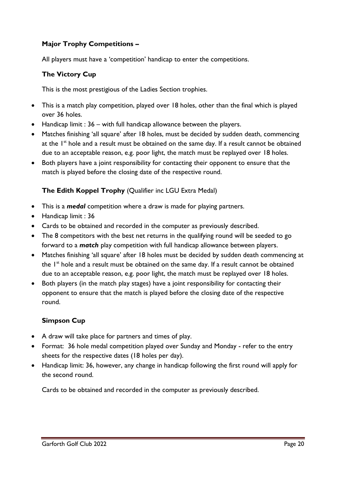# **Major Trophy Competitions –**

All players must have a 'competition' handicap to enter the competitions.

### **The Victory Cup**

This is the most prestigious of the Ladies Section trophies.

- This is a match play competition, played over 18 holes, other than the final which is played over 36 holes.
- Handicap limit : 36 with full handicap allowance between the players.
- Matches finishing 'all square' after 18 holes, must be decided by sudden death, commencing at the I<sup>st</sup> hole and a result must be obtained on the same day. If a result cannot be obtained due to an acceptable reason, e.g. poor light, the match must be replayed over 18 holes.
- Both players have a joint responsibility for contacting their opponent to ensure that the match is played before the closing date of the respective round.

### **The Edith Koppel Trophy** (Qualifier inc LGU Extra Medal)

- This is a *medal* competition where a draw is made for playing partners.
- Handicap limit : 36
- Cards to be obtained and recorded in the computer as previously described.
- The 8 competitors with the best net returns in the qualifying round will be seeded to go forward to a *match* play competition with full handicap allowance between players.
- Matches finishing 'all square' after 18 holes must be decided by sudden death commencing at the 1<sup>st</sup> hole and a result must be obtained on the same day. If a result cannot be obtained due to an acceptable reason, e.g. poor light, the match must be replayed over 18 holes.
- Both players (in the match play stages) have a joint responsibility for contacting their opponent to ensure that the match is played before the closing date of the respective round.

# **Simpson Cup**

- A draw will take place for partners and times of play.
- Format: 36 hole medal competition played over Sunday and Monday refer to the entry sheets for the respective dates (18 holes per day).
- Handicap limit: 36, however, any change in handicap following the first round will apply for the second round.

Cards to be obtained and recorded in the computer as previously described.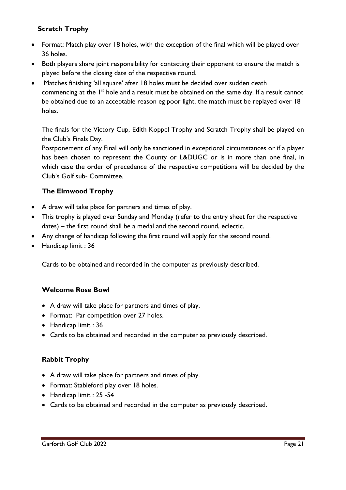# **Scratch Trophy**

- Format: Match play over 18 holes, with the exception of the final which will be played over 36 holes.
- Both players share joint responsibility for contacting their opponent to ensure the match is played before the closing date of the respective round.
- Matches finishing 'all square' after 18 holes must be decided over sudden death commencing at the 1<sup>st</sup> hole and a result must be obtained on the same day. If a result cannot be obtained due to an acceptable reason eg poor light, the match must be replayed over 18 holes.

The finals for the Victory Cup, Edith Koppel Trophy and Scratch Trophy shall be played on the Club's Finals Day.

Postponement of any Final will only be sanctioned in exceptional circumstances or if a player has been chosen to represent the County or L&DUGC or is in more than one final, in which case the order of precedence of the respective competitions will be decided by the Club's Golf sub- Committee.

# **The Elmwood Trophy**

- A draw will take place for partners and times of play.
- This trophy is played over Sunday and Monday (refer to the entry sheet for the respective dates) – the first round shall be a medal and the second round, eclectic.
- Any change of handicap following the first round will apply for the second round.
- Handicap limit : 36

Cards to be obtained and recorded in the computer as previously described.

#### **Welcome Rose Bowl**

- A draw will take place for partners and times of play.
- Format: Par competition over 27 holes.
- Handicap limit : 36
- Cards to be obtained and recorded in the computer as previously described.

# **Rabbit Trophy**

- A draw will take place for partners and times of play.
- Format: Stableford play over 18 holes.
- Handicap limit : 25 -54
- Cards to be obtained and recorded in the computer as previously described.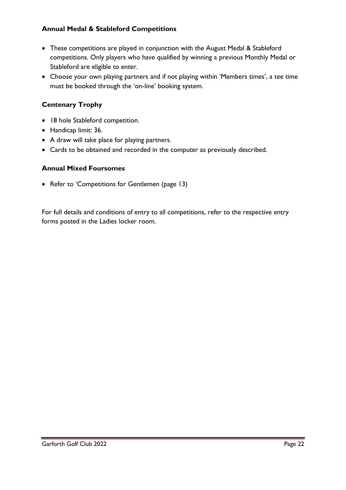# **Annual Medal & Stableford Competitions**

- These competitions are played in conjunction with the August Medal & Stableford competitions. Only players who have qualified by winning a previous Monthly Medal or Stableford are eligible to enter.
- Choose your own playing partners and if not playing within 'Members times', a tee time must be booked through the 'on-line' booking system.

# **Centenary Trophy**

- 18 hole Stableford competition.
- Handicap limit: 36.
- A draw will take place for playing partners.
- Cards to be obtained and recorded in the computer as previously described.

#### **Annual Mixed Foursomes**

• Refer to 'Competitions for Gentlemen (page 13)

For full details and conditions of entry to all competitions, refer to the respective entry forms posted in the Ladies locker room.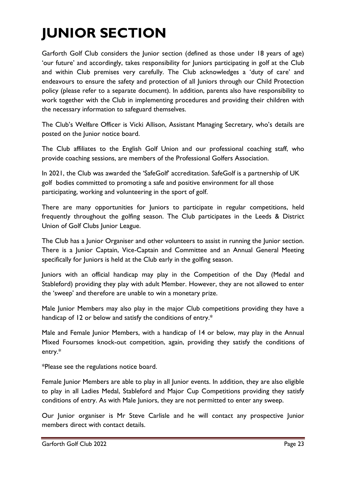# **JUNIOR SECTION**

Garforth Golf Club considers the Junior section (defined as those under 18 years of age) 'our future' and accordingly, takes responsibility for Juniors participating in golf at the Club and within Club premises very carefully. The Club acknowledges a 'duty of care' and endeavours to ensure the safety and protection of all Juniors through our Child Protection policy (please refer to a separate document). In addition, parents also have responsibility to work together with the Club in implementing procedures and providing their children with the necessary information to safeguard themselves.

The Club's Welfare Officer is Vicki Allison, Assistant Managing Secretary, who's details are posted on the Junior notice board.

The Club affiliates to the English Golf Union and our professional coaching staff, who provide coaching sessions, are members of the Professional Golfers Association.

In 2021, the Club was awarded the 'SafeGolf' accreditation. SafeGolf is a partnership of UK golf bodies committed to promoting a safe and positive environment for all those participating, working and volunteering in the sport of golf.

There are many opportunities for Juniors to participate in regular competitions, held frequently throughout the golfing season. The Club participates in the Leeds & District Union of Golf Clubs Junior League.

The Club has a Junior Organiser and other volunteers to assist in running the Junior section. There is a Junior Captain, Vice-Captain and Committee and an Annual General Meeting specifically for Juniors is held at the Club early in the golfing season.

Juniors with an official handicap may play in the Competition of the Day (Medal and Stableford) providing they play with adult Member. However, they are not allowed to enter the 'sweep' and therefore are unable to win a monetary prize.

Male Junior Members may also play in the major Club competitions providing they have a handicap of 12 or below and satisfy the conditions of entry.\*

Male and Female Junior Members, with a handicap of 14 or below, may play in the Annual Mixed Foursomes knock-out competition, again, providing they satisfy the conditions of entry.\*

\*Please see the regulations notice board.

Female Junior Members are able to play in all Junior events. In addition, they are also eligible to play in all Ladies Medal, Stableford and Major Cup Competitions providing they satisfy conditions of entry. As with Male Juniors, they are not permitted to enter any sweep.

Our Junior organiser is Mr Steve Carlisle and he will contact any prospective Junior members direct with contact details.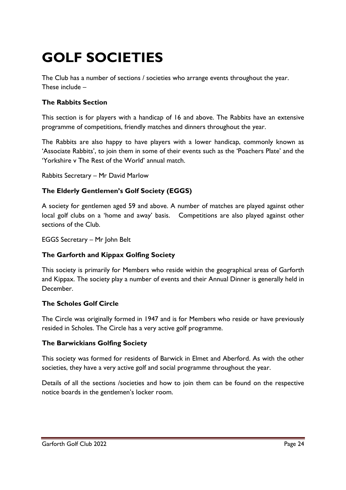# **GOLF SOCIETIES**

The Club has a number of sections / societies who arrange events throughout the year. These include –

# **The Rabbits Section**

This section is for players with a handicap of 16 and above. The Rabbits have an extensive programme of competitions, friendly matches and dinners throughout the year.

The Rabbits are also happy to have players with a lower handicap, commonly known as 'Associate Rabbits', to join them in some of their events such as the 'Poachers Plate' and the 'Yorkshire v The Rest of the World' annual match.

Rabbits Secretary – Mr David Marlow

# **The Elderly Gentlemen's Golf Society (EGGS)**

A society for gentlemen aged 59 and above. A number of matches are played against other local golf clubs on a 'home and away' basis. Competitions are also played against other sections of the Club.

EGGS Secretary – Mr John Belt

# **The Garforth and Kippax Golfing Society**

This society is primarily for Members who reside within the geographical areas of Garforth and Kippax. The society play a number of events and their Annual Dinner is generally held in December.

# **The Scholes Golf Circle**

The Circle was originally formed in 1947 and is for Members who reside or have previously resided in Scholes. The Circle has a very active golf programme.

# **The Barwickians Golfing Society**

This society was formed for residents of Barwick in Elmet and Aberford. As with the other societies, they have a very active golf and social programme throughout the year.

Details of all the sections /societies and how to join them can be found on the respective notice boards in the gentlemen's locker room.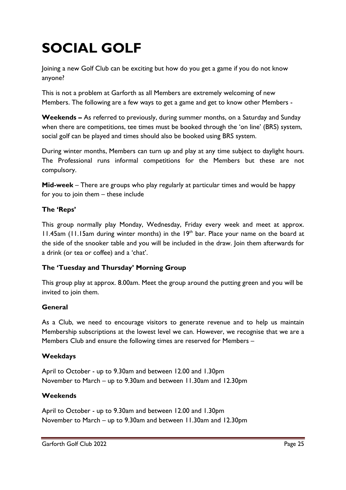# **SOCIAL GOLF**

Joining a new Golf Club can be exciting but how do you get a game if you do not know anyone?

This is not a problem at Garforth as all Members are extremely welcoming of new Members. The following are a few ways to get a game and get to know other Members -

**Weekends –** As referred to previously, during summer months, on a Saturday and Sunday when there are competitions, tee times must be booked through the 'on line' (BRS) system, social golf can be played and times should also be booked using BRS system.

During winter months, Members can turn up and play at any time subject to daylight hours. The Professional runs informal competitions for the Members but these are not compulsory.

**Mid-week** – There are groups who play regularly at particular times and would be happy for you to join them – these include

# **The 'Reps'**

This group normally play Monday, Wednesday, Friday every week and meet at approx. 11.45am (11.15am during winter months) in the  $19<sup>th</sup>$  bar. Place your name on the board at the side of the snooker table and you will be included in the draw. Join them afterwards for a drink (or tea or coffee) and a 'chat'.

# **The 'Tuesday and Thursday' Morning Group**

This group play at approx. 8.00am. Meet the group around the putting green and you will be invited to join them.

# **General**

As a Club, we need to encourage visitors to generate revenue and to help us maintain Membership subscriptions at the lowest level we can. However, we recognise that we are a Members Club and ensure the following times are reserved for Members –

# **Weekdays**

April to October - up to 9.30am and between 12.00 and 1.30pm November to March – up to 9.30am and between 11.30am and 12.30pm

# **Weekends**

April to October - up to 9.30am and between 12.00 and 1.30pm November to March – up to 9.30am and between 11.30am and 12.30pm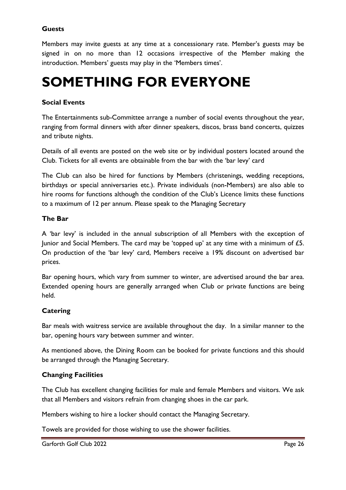# **Guests**

Members may invite guests at any time at a concessionary rate. Member's guests may be signed in on no more than 12 occasions irrespective of the Member making the introduction. Members' guests may play in the 'Members times'.

# **SOMETHING FOR EVERYONE**

# **Social Events**

The Entertainments sub-Committee arrange a number of social events throughout the year, ranging from formal dinners with after dinner speakers, discos, brass band concerts, quizzes and tribute nights.

Details of all events are posted on the web site or by individual posters located around the Club. Tickets for all events are obtainable from the bar with the 'bar levy' card

The Club can also be hired for functions by Members (christenings, wedding receptions, birthdays or special anniversaries etc.). Private individuals (non-Members) are also able to hire rooms for functions although the condition of the Club's Licence limits these functions to a maximum of 12 per annum. Please speak to the Managing Secretary

#### **The Bar**

A 'bar levy' is included in the annual subscription of all Members with the exception of Junior and Social Members. The card may be 'topped up' at any time with a minimum of  $\pounds 5$ . On production of the 'bar levy' card, Members receive a 19% discount on advertised bar prices.

Bar opening hours, which vary from summer to winter, are advertised around the bar area. Extended opening hours are generally arranged when Club or private functions are being held.

# **Catering**

Bar meals with waitress service are available throughout the day. In a similar manner to the bar, opening hours vary between summer and winter.

As mentioned above, the Dining Room can be booked for private functions and this should be arranged through the Managing Secretary.

# **Changing Facilities**

The Club has excellent changing facilities for male and female Members and visitors. We ask that all Members and visitors refrain from changing shoes in the car park.

Members wishing to hire a locker should contact the Managing Secretary.

Towels are provided for those wishing to use the shower facilities.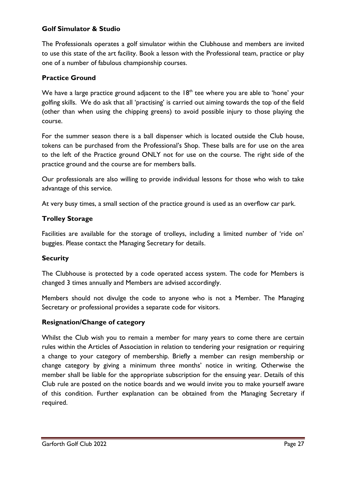### **Golf Simulator & Studio**

The Professionals operates a golf simulator within the Clubhouse and members are invited to use this state of the art facility. Book a lesson with the Professional team, practice or play one of a number of fabulous championship courses.

### **Practice Ground**

We have a large practice ground adjacent to the  $18<sup>th</sup>$  tee where you are able to 'hone' your golfing skills. We do ask that all 'practising' is carried out aiming towards the top of the field (other than when using the chipping greens) to avoid possible injury to those playing the course.

For the summer season there is a ball dispenser which is located outside the Club house, tokens can be purchased from the Professional's Shop. These balls are for use on the area to the left of the Practice ground ONLY not for use on the course. The right side of the practice ground and the course are for members balls.

Our professionals are also willing to provide individual lessons for those who wish to take advantage of this service.

At very busy times, a small section of the practice ground is used as an overflow car park.

### **Trolley Storage**

Facilities are available for the storage of trolleys, including a limited number of 'ride on' buggies. Please contact the Managing Secretary for details.

#### **Security**

The Clubhouse is protected by a code operated access system. The code for Members is changed 3 times annually and Members are advised accordingly.

Members should not divulge the code to anyone who is not a Member. The Managing Secretary or professional provides a separate code for visitors.

#### **Resignation/Change of category**

Whilst the Club wish you to remain a member for many years to come there are certain rules within the Articles of Association in relation to tendering your resignation or requiring a change to your category of membership. Briefly a member can resign membership or change category by giving a minimum three months' notice in writing. Otherwise the member shall be liable for the appropriate subscription for the ensuing year. Details of this Club rule are posted on the notice boards and we would invite you to make yourself aware of this condition. Further explanation can be obtained from the Managing Secretary if required.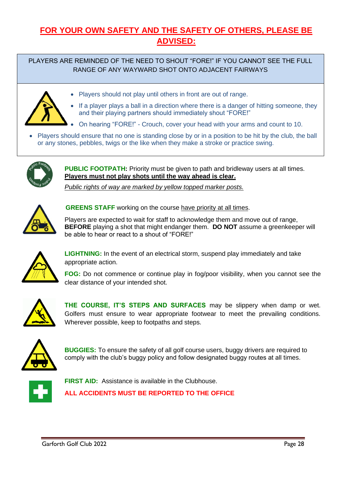# **FOR YOUR OWN SAFETY AND THE SAFETY OF OTHERS, PLEASE BE ADVISED:**

PLAYERS ARE REMINDED OF THE NEED TO SHOUT "FORE!" IF YOU CANNOT SEE THE FULL RANGE OF ANY WAYWARD SHOT ONTO ADJACENT FAIRWAYS

• Players should not play until others in front are out of range.



- If a player plays a ball in a direction where there is a danger of hitting someone, they and their playing partners should immediately shout "FORE!"
- On hearing "FORE!" Crouch, cover your head with your arms and count to 10.
- Players should ensure that no one is standing close by or in a position to be hit by the club, the ball or any stones, pebbles, twigs or the like when they make a stroke or practice swing.



**PUBLIC FOOTPATH:** Priority must be given to path and bridleway users at all times. **Players must not play shots until the way ahead is clear.**

*Public rights of way are marked by yellow topped marker posts.*



**GREENS STAFF** working on the course have priority at all times.

Players are expected to wait for staff to acknowledge them and move out of range, **BEFORE** playing a shot that might endanger them. **DO NOT** assume a greenkeeper will be able to hear or react to a shout of "FORE!"



**LIGHTNING:** In the event of an electrical storm, suspend play immediately and take appropriate action.

**FOG:** Do not commence or continue play in fog/poor visibility, when you cannot see the clear distance of your intended shot.



**THE COURSE, IT'S STEPS AND SURFACES** may be slippery when damp or wet. Golfers must ensure to wear appropriate footwear to meet the prevailing conditions. Wherever possible, keep to footpaths and steps.



**BUGGIES:** To ensure the safety of all golf course users, buggy drivers are required to comply with the club's buggy policy and follow designated buggy routes at all times.



**FIRST AID:** Assistance is available in the Clubhouse.

**ALL ACCIDENTS MUST BE REPORTED TO THE OFFICE**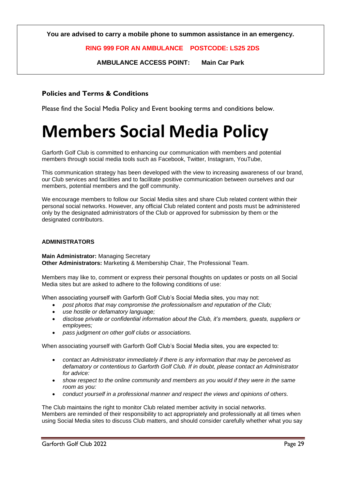**You are advised to carry a mobile phone to summon assistance in an emergency.**

#### **RING 999 FOR AN AMBULANCE POSTCODE: LS25 2DS**

**AMBULANCE ACCESS POINT: Main Car Park**

#### **Policies and Terms & Conditions**

Please find the Social Media Policy and Event booking terms and conditions below.

# **Members Social Media Policy**

Garforth Golf Club is committed to enhancing our communication with members and potential members through social media tools such as Facebook, Twitter, Instagram, YouTube,

This communication strategy has been developed with the view to increasing awareness of our brand, our Club services and facilities and to facilitate positive communication between ourselves and our members, potential members and the golf community.

We encourage members to follow our Social Media sites and share Club related content within their personal social networks. However, any official Club related content and posts must be administered only by the designated administrators of the Club or approved for submission by them or the designated contributors.

#### **ADMINISTRATORS**

**Main Administrator:** Managing Secretary **Other Administrators:** Marketing & Membership Chair, The Professional Team.

Members may like to, comment or express their personal thoughts on updates or posts on all Social Media sites but are asked to adhere to the following conditions of use:

When associating yourself with Garforth Golf Club's Social Media sites, you may not:

- *post photos that may compromise the professionalism and reputation of the Club;*
- *use hostile or defamatory language;*
- *disclose private or confidential information about the Club, it's members, guests, suppliers or employees;*
- *pass judgment on other golf clubs or associations.*

When associating yourself with Garforth Golf Club's Social Media sites, you are expected to:

- *contact an Administrator immediately if there is any information that may be perceived as defamatory or contentious to Garforth Golf Club. If in doubt, please contact an Administrator for advice:*
- *show respect to the online community and members as you would if they were in the same room as you:*
- *conduct yourself in a professional manner and respect the views and opinions of others.*

The Club maintains the right to monitor Club related member activity in social networks. Members are reminded of their responsibility to act appropriately and professionally at all times when using Social Media sites to discuss Club matters, and should consider carefully whether what you say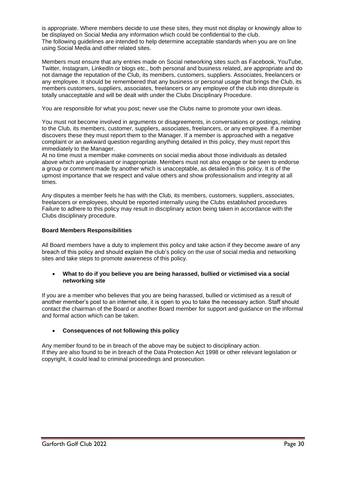is appropriate. Where members decide to use these sites, they must not display or knowingly allow to be displayed on Social Media any information which could be confidential to the club. The following guidelines are intended to help determine acceptable standards when you are on line using Social Media and other related sites.

Members must ensure that any entries made on Social networking sites such as Facebook, YouTube, Twitter, Instagram, LinkedIn or blogs etc., both personal and business related, are appropriate and do not damage the reputation of the Club, its members, customers, suppliers. Associates, freelancers or any employee. It should be remembered that any business or personal usage that brings the Club, its members customers, suppliers, associates, freelancers or any employee of the club into disrepute is totally unacceptable and will be dealt with under the Clubs Disciplinary Procedure.

You are responsible for what you post; never use the Clubs name to promote your own ideas.

You must not become involved in arguments or disagreements, in conversations or postings, relating to the Club, its members, customer, suppliers, associates, freelancers, or any employee. If a member discovers these they must report them to the Manager. If a member is approached with a negative complaint or an awkward question regarding anything detailed in this policy, they must report this immediately to the Manager.

At no time must a member make comments on social media about those individuals as detailed above which are unpleasant or inappropriate. Members must not also engage or be seen to endorse a group or comment made by another which is unacceptable, as detailed in this policy. It is of the upmost importance that we respect and value others and show professionalism and integrity at all times.

Any disputes a member feels he has with the Club, its members, customers, suppliers, associates, freelancers or employees, should be reported internally using the Clubs established procedures Failure to adhere to this policy may result in disciplinary action being taken in accordance with the Clubs disciplinary procedure.

#### **Board Members Responsibilities**

All Board members have a duty to implement this policy and take action if they become aware of any breach of this policy and should explain the club's policy on the use of social media and networking sites and take steps to promote awareness of this policy.

#### • **What to do if you believe you are being harassed, bullied or victimised via a social networking site**

If you are a member who believes that you are being harassed, bullied or victimised as a result of another member's post to an internet site, it is open to you to take the necessary action. Staff should contact the chairman of the Board or another Board member for support and guidance on the informal and formal action which can be taken.

#### • **Consequences of not following this policy**

Any member found to be in breach of the above may be subject to disciplinary action. If they are also found to be in breach of the Data Protection Act 1998 or other relevant legislation or copyright, it could lead to criminal proceedings and prosecution.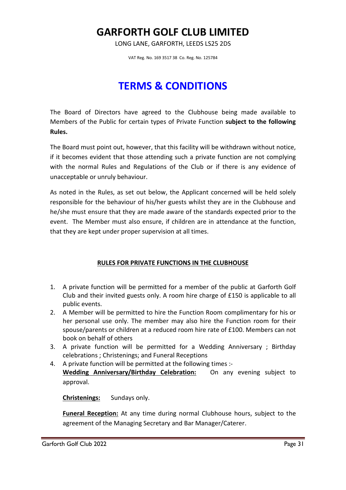# **GARFORTH GOLF CLUB LIMITED**

LONG LANE, GARFORTH, LEEDS LS25 2DS

VAT Reg. No. 169 3517 38 Co. Reg. No. 125784

# **TERMS & CONDITIONS**

The Board of Directors have agreed to the Clubhouse being made available to Members of the Public for certain types of Private Function **subject to the following Rules.**

The Board must point out, however, that this facility will be withdrawn without notice, if it becomes evident that those attending such a private function are not complying with the normal Rules and Regulations of the Club or if there is any evidence of unacceptable or unruly behaviour.

As noted in the Rules, as set out below, the Applicant concerned will be held solely responsible for the behaviour of his/her guests whilst they are in the Clubhouse and he/she must ensure that they are made aware of the standards expected prior to the event. The Member must also ensure, if children are in attendance at the function, that they are kept under proper supervision at all times.

#### **RULES FOR PRIVATE FUNCTIONS IN THE CLUBHOUSE**

- 1. A private function will be permitted for a member of the public at Garforth Golf Club and their invited guests only. A room hire charge of £150 is applicable to all public events.
- 2. A Member will be permitted to hire the Function Room complimentary for his or her personal use only. The member may also hire the Function room for their spouse/parents or children at a reduced room hire rate of £100. Members can not book on behalf of others
- 3. A private function will be permitted for a Wedding Anniversary ; Birthday celebrations ; Christenings; and Funeral Receptions
- 4. A private function will be permitted at the following times :- **Wedding Anniversary/Birthday Celebration:** On any evening subject to approval.

**Christenings:** Sundays only.

**Funeral Reception:** At any time during normal Clubhouse hours, subject to the agreement of the Managing Secretary and Bar Manager/Caterer.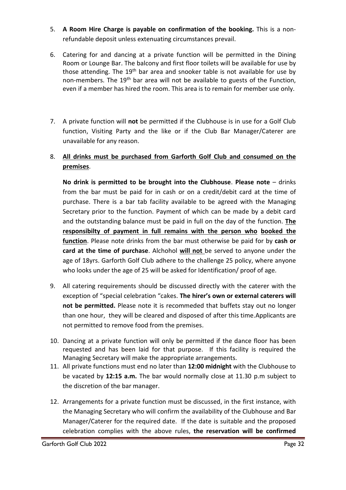- 5. **A Room Hire Charge is payable on confirmation of the booking.** This is a nonrefundable deposit unless extenuating circumstances prevail.
- 6. Catering for and dancing at a private function will be permitted in the Dining Room or Lounge Bar. The balcony and first floor toilets will be available for use by those attending. The  $19<sup>th</sup>$  bar area and snooker table is not available for use by non-members. The 19<sup>th</sup> bar area will not be available to guests of the Function, even if a member has hired the room. This area is to remain for member use only.
- 7. A private function will **not** be permitted if the Clubhouse is in use for a Golf Club function, Visiting Party and the like or if the Club Bar Manager/Caterer are unavailable for any reason.

# 8. **All drinks must be purchased from Garforth Golf Club and consumed on the premises**.

 **No drink is permitted to be brought into the Clubhouse**. **Please note** – drinks from the bar must be paid for in cash or on a credit/debit card at the time of purchase. There is a bar tab facility available to be agreed with the Managing Secretary prior to the function. Payment of which can be made by a debit card and the outstanding balance must be paid in full on the day of the function. **The responsibilty of payment in full remains with the person who booked the function**. Please note drinks from the bar must otherwise be paid for by **cash or card at the time of purchase**. Alchohol **will not** be served to anyone under the age of 18yrs. Garforth Golf Club adhere to the challenge 25 policy, where anyone who looks under the age of 25 will be asked for Identification/ proof of age.

- 9. All catering requirements should be discussed directly with the caterer with the exception of "special celebration "cakes. **The hirer's own or external caterers will not be permitted.** Please note it is recommeded that buffets stay out no longer than one hour, they will be cleared and disposed of after this time.Applicants are not permitted to remove food from the premises.
- 10. Dancing at a private function will only be permitted if the dance floor has been requested and has been laid for that purpose. If this facility is required the Managing Secretary will make the appropriate arrangements.
- 11. All private functions must end no later than **12:00 midnight** with the Clubhouse to be vacated by **12:15 a.m.** The bar would normally close at 11.30 p.m subject to the discretion of the bar manager.
- 12. Arrangements for a private function must be discussed, in the first instance, with the Managing Secretary who will confirm the availability of the Clubhouse and Bar Manager/Caterer for the required date. If the date is suitable and the proposed celebration complies with the above rules, **the reservation will be confirmed**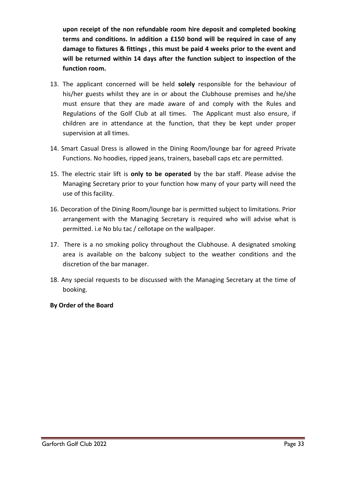**upon receipt of the non refundable room hire deposit and completed booking terms and conditions. In addition a £150 bond will be required in case of any damage to fixtures & fittings , this must be paid 4 weeks prior to the event and will be returned within 14 days after the function subject to inspection of the function room.**

- 13. The applicant concerned will be held **solely** responsible for the behaviour of his/her guests whilst they are in or about the Clubhouse premises and he/she must ensure that they are made aware of and comply with the Rules and Regulations of the Golf Club at all times. The Applicant must also ensure, if children are in attendance at the function, that they be kept under proper supervision at all times.
- 14. Smart Casual Dress is allowed in the Dining Room/lounge bar for agreed Private Functions. No hoodies, ripped jeans, trainers, baseball caps etc are permitted.
- 15. The electric stair lift is **only to be operated** by the bar staff. Please advise the Managing Secretary prior to your function how many of your party will need the use of this facility.
- 16. Decoration of the Dining Room/lounge bar is permitted subject to limitations. Prior arrangement with the Managing Secretary is required who will advise what is permitted. i.e No blu tac / cellotape on the wallpaper.
- 17. There is a no smoking policy throughout the Clubhouse. A designated smoking area is available on the balcony subject to the weather conditions and the discretion of the bar manager.
- 18. Any special requests to be discussed with the Managing Secretary at the time of booking.

# **By Order of the Board**